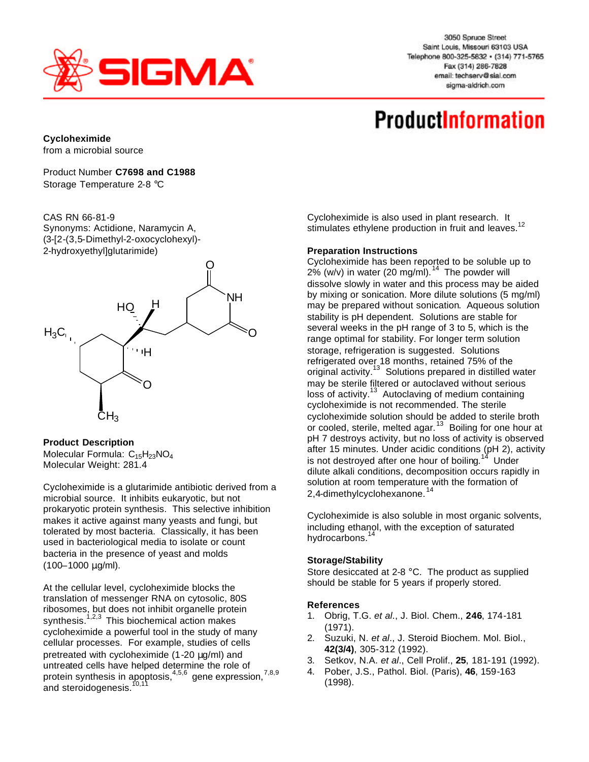

3050 Spruce Street Saint Louis, Missouri 63103 USA Telephone 800-325-5832 · (314) 771-5765 Fax (314) 286-7828 email: techserv@sial.com sigma-aldrich.com

# **ProductInformation**

**Cycloheximide** from a microbial source

CAS RN 66-81-9

Product Number **C7698 and C1988** Storage Temperature 2-8 °C



### **Product Description**

Molecular Formula: C<sub>15</sub>H<sub>23</sub>NO<sub>4</sub> Molecular Weight: 281.4

Cycloheximide is a glutarimide antibiotic derived from a microbial source. It inhibits eukaryotic, but not prokaryotic protein synthesis. This selective inhibition makes it active against many yeasts and fungi, but tolerated by most bacteria. Classically, it has been used in bacteriological media to isolate or count bacteria in the presence of yeast and molds (100–1000 μg/ml).

At the cellular level, cycloheximide blocks the translation of messenger RNA on cytosolic, 80S ribosomes, but does not inhibit organelle protein synthesis.<sup>1,2,3</sup> This biochemical action makes cycloheximide a powerful tool in the study of many cellular processes. For example, studies of cells pretreated with cycloheximide (1-20 μg/ml) and untreated cells have helped determine the role of protein synthesis in apoptosis, $4.5,6$  gene expression,  $7,8,9$ and steroidogenesis.<sup>10,11</sup>

Cycloheximide is also used in plant research. It stimulates ethylene production in fruit and leaves.<sup>12</sup>

### **Preparation Instructions**

Cycloheximide has been reported to be soluble up to 2% (w/v) in water (20 mg/ml).<sup>14</sup> The powder will dissolve slowly in water and this process may be aided by mixing or sonication. More dilute solutions (5 mg/ml) may be prepared without sonication. Aqueous solution stability is pH dependent. Solutions are stable for several weeks in the pH range of 3 to 5, which is the range optimal for stability. For longer term solution storage, refrigeration is suggested. Solutions refrigerated over 18 months, retained 75% of the original activity.<sup>13</sup> Solutions prepared in distilled water may be sterile filtered or autoclaved without serious loss of activity.<sup>13</sup> Autoclaving of medium containing cycloheximide is not recommended. The sterile cycloheximide solution should be added to sterile broth or cooled, sterile, melted agar.<sup>13</sup> Boiling for one hour at pH 7 destroys activity, but no loss of activity is observed after 15 minutes. Under acidic conditions (pH 2), activity is not destroyed after one hour of boiling.<sup>14</sup> Under dilute alkali conditions, decomposition occurs rapidly in solution at room temperature with the formation of 2,4-dimethylcyclohexanone.<sup>14</sup>

Cycloheximide is also soluble in most organic solvents, including ethanol, with the exception of saturated hydrocarbons.<sup>14</sup>

## **Storage/Stability**

Store desiccated at 2-8 °C. The product as supplied should be stable for 5 years if properly stored.

#### **References**

- 1. Obrig, T.G. *et al*., J. Biol. Chem., **246**, 174-181 (1971).
- 2. Suzuki, N. *et al*., J. Steroid Biochem. Mol. Biol., **42(3/4)**, 305-312 (1992).
- 3. Setkov, N.A. *et al*., Cell Prolif., **25**, 181-191 (1992).
- 4. Pober, J.S., Pathol. Biol. (Paris), **46**, 159-163 (1998).